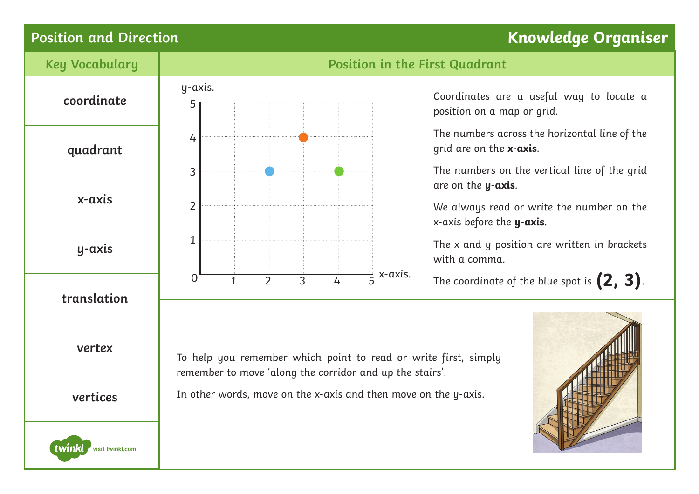## **Position and Direction Knowledge Organiser**